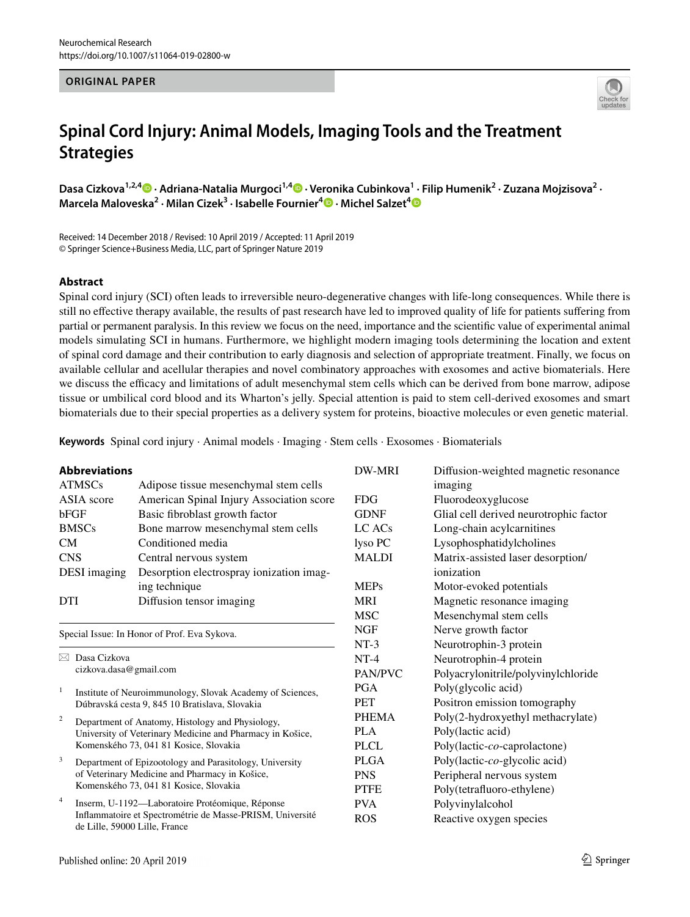## **ORIGINAL PAPER**



# **Spinal Cord Injury: Animal Models, Imaging Tools and the Treatment Strategies**

DasaCizkova<sup>1,2,4</sup> D · Adriana-Natalia Murgoci<sup>1,4</sup> D · Veronika Cubinkova<sup>1</sup> · Filip Humenik<sup>2</sup> · Zuzana Mojzisova<sup>2</sup> · **Marcela Maloveska<sup>2</sup> · Milan Cizek3 · Isabelle Fournier4  [·](http://orcid.org/0000-0003-1096-5044) Michel Salzet[4](http://orcid.org/0000-0003-4318-0817)**

Received: 14 December 2018 / Revised: 10 April 2019 / Accepted: 11 April 2019 © Springer Science+Business Media, LLC, part of Springer Nature 2019

## **Abstract**

Spinal cord injury (SCI) often leads to irreversible neuro-degenerative changes with life-long consequences. While there is still no efective therapy available, the results of past research have led to improved quality of life for patients sufering from partial or permanent paralysis. In this review we focus on the need, importance and the scientifc value of experimental animal models simulating SCI in humans. Furthermore, we highlight modern imaging tools determining the location and extent of spinal cord damage and their contribution to early diagnosis and selection of appropriate treatment. Finally, we focus on available cellular and acellular therapies and novel combinatory approaches with exosomes and active biomaterials. Here we discuss the efficacy and limitations of adult mesenchymal stem cells which can be derived from bone marrow, adipose tissue or umbilical cord blood and its Wharton's jelly. Special attention is paid to stem cell-derived exosomes and smart biomaterials due to their special properties as a delivery system for proteins, bioactive molecules or even genetic material.

**Keywords** Spinal cord injury · Animal models · Imaging · Stem cells · Exosomes · Biomaterials

| <b>Abbreviations</b>                                                 |                                                                                                             | <b>DW-MRI</b>       | Diffusion-weighted magnetic resonance  |
|----------------------------------------------------------------------|-------------------------------------------------------------------------------------------------------------|---------------------|----------------------------------------|
| <b>ATMSCs</b>                                                        | Adipose tissue mesenchymal stem cells                                                                       |                     | imaging                                |
| ASIA score                                                           | American Spinal Injury Association score                                                                    | <b>FDG</b>          | Fluorodeoxyglucose                     |
| bFGF                                                                 | Basic fibroblast growth factor                                                                              | <b>GDNF</b>         | Glial cell derived neurotrophic factor |
| <b>BMSCs</b>                                                         | Bone marrow mesenchymal stem cells                                                                          | $LC$ ACs            | Long-chain acylcarnitines              |
| CM                                                                   | Conditioned media                                                                                           | lyso PC             | Lysophosphatidylcholines               |
| <b>CNS</b>                                                           | Central nervous system                                                                                      | <b>MALDI</b>        | Matrix-assisted laser desorption/      |
| DESI imaging                                                         | Desorption electrospray ionization imag-                                                                    |                     | ionization                             |
|                                                                      | ing technique                                                                                               | <b>MEPs</b>         | Motor-evoked potentials                |
| <b>DTI</b>                                                           | Diffusion tensor imaging                                                                                    | <b>MRI</b>          | Magnetic resonance imaging             |
|                                                                      |                                                                                                             | <b>MSC</b>          | Mesenchymal stem cells                 |
| <b>NGF</b><br>Special Issue: In Honor of Prof. Eva Sykova.<br>$NT-3$ |                                                                                                             | Nerve growth factor |                                        |
|                                                                      |                                                                                                             |                     | Neurotrophin-3 protein                 |
| $\boxtimes$ Dasa Cizkova<br>cizkova.dasa@gmail.com                   |                                                                                                             | $NT-4$              | Neurotrophin-4 protein                 |
|                                                                      |                                                                                                             | <b>PAN/PVC</b>      | Polyacrylonitrile/polyvinylchloride    |
| $\mathbf{1}$                                                         | Institute of Neuroimmunology, Slovak Academy of Sciences,<br>Dúbravská cesta 9, 845 10 Bratislava, Slovakia | <b>PGA</b>          | Poly(glycolic acid)                    |
|                                                                      |                                                                                                             | <b>PET</b>          | Positron emission tomography           |
| $\overline{c}$                                                       | Department of Anatomy, Histology and Physiology,                                                            | <b>PHEMA</b>        | Poly(2-hydroxyethyl methacrylate)      |
| University of Veterinary Medicine and Pharmacy in Košice,            |                                                                                                             | PLA                 | Poly(lactic acid)                      |
|                                                                      | Komenského 73, 041 81 Kosice, Slovakia                                                                      | <b>PLCL</b>         | Poly(lactic-co-caprolactone)           |
| 3                                                                    | Department of Epizootology and Parasitology, University                                                     | <b>PLGA</b>         | Poly(lactic-co-glycolic acid)          |
| of Veterinary Medicine and Pharmacy in Košice,                       |                                                                                                             | <b>PNS</b>          | Peripheral nervous system              |
|                                                                      | Komenského 73, 041 81 Kosice, Slovakia                                                                      | <b>PTFE</b>         | Poly(tetrafluoro-ethylene)             |
| $\overline{4}$                                                       | Inserm, U-1192—Laboratoire Protéomique, Réponse                                                             | <b>PVA</b>          | Polyvinylalcohol                       |
| de Lille, 59000 Lille, France                                        | Inflammatoire et Spectrométrie de Masse-PRISM, Université                                                   | <b>ROS</b>          | Reactive oxygen species                |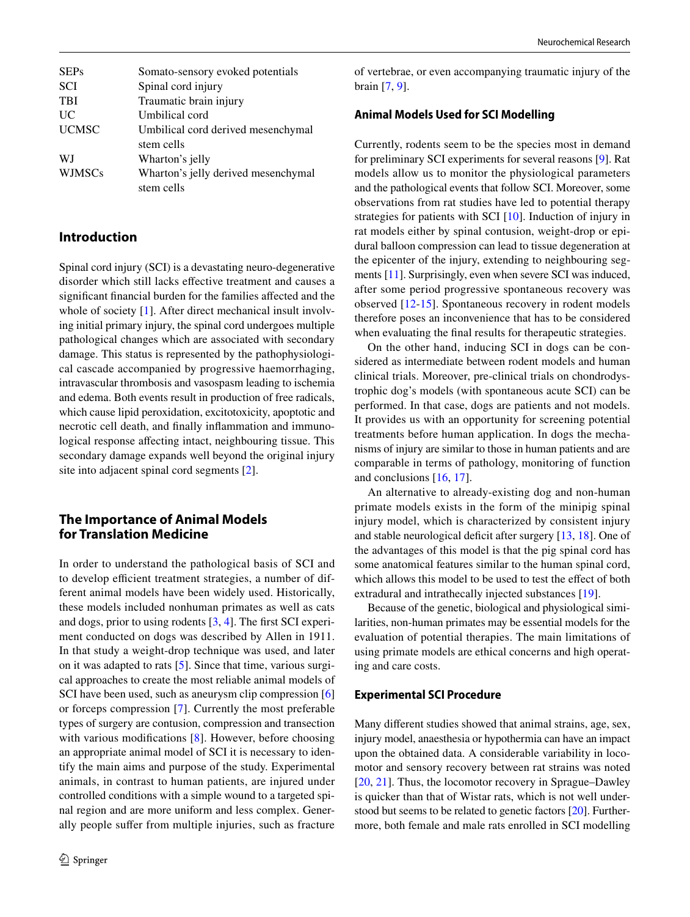| <b>SEPs</b>   | Somato-sensory evoked potentials    |
|---------------|-------------------------------------|
| <b>SCI</b>    | Spinal cord injury                  |
| <b>TBI</b>    | Traumatic brain injury              |
| UC            | Umbilical cord                      |
| <b>UCMSC</b>  | Umbilical cord derived mesenchymal  |
|               | stem cells                          |
| WJ            | Wharton's jelly                     |
| <b>WJMSCs</b> | Wharton's jelly derived mesenchymal |
|               | stem cells                          |

# **Introduction**

Spinal cord injury (SCI) is a devastating neuro-degenerative disorder which still lacks efective treatment and causes a signifcant fnancial burden for the families afected and the whole of society [[1](#page-7-0)]. After direct mechanical insult involving initial primary injury, the spinal cord undergoes multiple pathological changes which are associated with secondary damage. This status is represented by the pathophysiological cascade accompanied by progressive haemorrhaging, intravascular thrombosis and vasospasm leading to ischemia and edema. Both events result in production of free radicals, which cause lipid peroxidation, excitotoxicity, apoptotic and necrotic cell death, and fnally infammation and immunological response afecting intact, neighbouring tissue. This secondary damage expands well beyond the original injury site into adjacent spinal cord segments [\[2](#page-7-1)].

# **The Importance of Animal Models for Translation Medicine**

In order to understand the pathological basis of SCI and to develop efficient treatment strategies, a number of different animal models have been widely used. Historically, these models included nonhuman primates as well as cats and dogs, prior to using rodents [[3,](#page-7-2) [4](#page-7-3)]. The frst SCI experiment conducted on dogs was described by Allen in 1911. In that study a weight-drop technique was used, and later on it was adapted to rats [\[5](#page-7-4)]. Since that time, various surgical approaches to create the most reliable animal models of SCI have been used, such as aneurysm clip compression [[6\]](#page-7-5) or forceps compression [\[7](#page-7-6)]. Currently the most preferable types of surgery are contusion, compression and transection with various modifications [[8\]](#page-7-7). However, before choosing an appropriate animal model of SCI it is necessary to identify the main aims and purpose of the study. Experimental animals, in contrast to human patients, are injured under controlled conditions with a simple wound to a targeted spinal region and are more uniform and less complex. Generally people suffer from multiple injuries, such as fracture of vertebrae, or even accompanying traumatic injury of the brain [[7,](#page-7-6) [9\]](#page-7-8).

## **Animal Models Used for SCI Modelling**

Currently, rodents seem to be the species most in demand for preliminary SCI experiments for several reasons [\[9](#page-7-8)]. Rat models allow us to monitor the physiological parameters and the pathological events that follow SCI. Moreover, some observations from rat studies have led to potential therapy strategies for patients with SCI [[10](#page-7-9)]. Induction of injury in rat models either by spinal contusion, weight-drop or epidural balloon compression can lead to tissue degeneration at the epicenter of the injury, extending to neighbouring segments [\[11\]](#page-7-10). Surprisingly, even when severe SCI was induced, after some period progressive spontaneous recovery was observed [\[12](#page-7-11)-[15\]](#page-7-12). Spontaneous recovery in rodent models therefore poses an inconvenience that has to be considered when evaluating the fnal results for therapeutic strategies.

On the other hand, inducing SCI in dogs can be considered as intermediate between rodent models and human clinical trials. Moreover, pre-clinical trials on chondrodystrophic dog's models (with spontaneous acute SCI) can be performed. In that case, dogs are patients and not models. It provides us with an opportunity for screening potential treatments before human application. In dogs the mechanisms of injury are similar to those in human patients and are comparable in terms of pathology, monitoring of function and conclusions [[16,](#page-7-13) [17\]](#page-7-14).

An alternative to already-existing dog and non-human primate models exists in the form of the minipig spinal injury model, which is characterized by consistent injury and stable neurological deficit after surgery  $[13, 18]$  $[13, 18]$  $[13, 18]$ . One of the advantages of this model is that the pig spinal cord has some anatomical features similar to the human spinal cord, which allows this model to be used to test the effect of both extradural and intrathecally injected substances [[19\]](#page-7-17).

Because of the genetic, biological and physiological similarities, non-human primates may be essential models for the evaluation of potential therapies. The main limitations of using primate models are ethical concerns and high operating and care costs.

#### **Experimental SCI Procedure**

Many diferent studies showed that animal strains, age, sex, injury model, anaesthesia or hypothermia can have an impact upon the obtained data. A considerable variability in locomotor and sensory recovery between rat strains was noted [[20,](#page-7-18) [21\]](#page-7-19). Thus, the locomotor recovery in Sprague–Dawley is quicker than that of Wistar rats, which is not well understood but seems to be related to genetic factors [[20\]](#page-7-18). Furthermore, both female and male rats enrolled in SCI modelling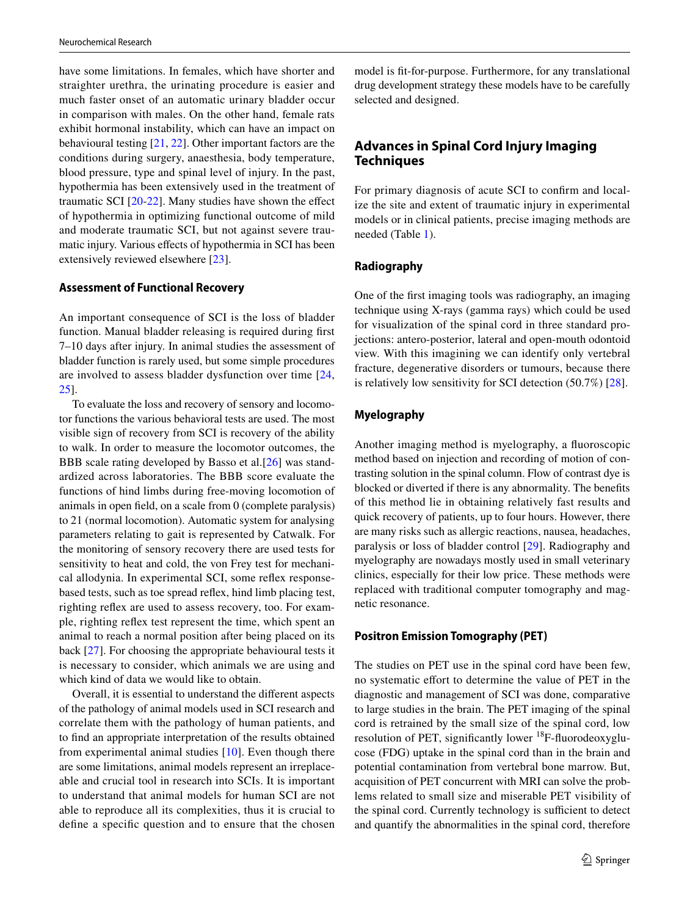have some limitations. In females, which have shorter and straighter urethra, the urinating procedure is easier and much faster onset of an automatic urinary bladder occur in comparison with males. On the other hand, female rats exhibit hormonal instability, which can have an impact on behavioural testing [[21,](#page-7-19) [22\]](#page-7-20). Other important factors are the conditions during surgery, anaesthesia, body temperature, blood pressure, type and spinal level of injury. In the past, hypothermia has been extensively used in the treatment of traumatic SCI [\[20-](#page-7-18)[22](#page-7-20)]. Many studies have shown the efect of hypothermia in optimizing functional outcome of mild and moderate traumatic SCI, but not against severe traumatic injury. Various effects of hypothermia in SCI has been extensively reviewed elsewhere [[23\]](#page-7-21).

#### **Assessment of Functional Recovery**

An important consequence of SCI is the loss of bladder function. Manual bladder releasing is required during frst 7–10 days after injury. In animal studies the assessment of bladder function is rarely used, but some simple procedures are involved to assess bladder dysfunction over time [\[24,](#page-7-22) [25](#page-7-23)].

To evaluate the loss and recovery of sensory and locomotor functions the various behavioral tests are used. The most visible sign of recovery from SCI is recovery of the ability to walk. In order to measure the locomotor outcomes, the BBB scale rating developed by Basso et al.[[26](#page-7-24)] was standardized across laboratories. The BBB score evaluate the functions of hind limbs during free-moving locomotion of animals in open feld, on a scale from 0 (complete paralysis) to 21 (normal locomotion). Automatic system for analysing parameters relating to gait is represented by Catwalk. For the monitoring of sensory recovery there are used tests for sensitivity to heat and cold, the von Frey test for mechanical allodynia. In experimental SCI, some refex responsebased tests, such as toe spread refex, hind limb placing test, righting refex are used to assess recovery, too. For example, righting refex test represent the time, which spent an animal to reach a normal position after being placed on its back [[27\]](#page-7-25). For choosing the appropriate behavioural tests it is necessary to consider, which animals we are using and which kind of data we would like to obtain.

Overall, it is essential to understand the diferent aspects of the pathology of animal models used in SCI research and correlate them with the pathology of human patients, and to fnd an appropriate interpretation of the results obtained from experimental animal studies [[10](#page-7-9)]. Even though there are some limitations, animal models represent an irreplaceable and crucial tool in research into SCIs. It is important to understand that animal models for human SCI are not able to reproduce all its complexities, thus it is crucial to defne a specifc question and to ensure that the chosen model is ft-for-purpose. Furthermore, for any translational drug development strategy these models have to be carefully selected and designed.

# **Advances in Spinal Cord Injury Imaging Techniques**

For primary diagnosis of acute SCI to confrm and localize the site and extent of traumatic injury in experimental models or in clinical patients, precise imaging methods are needed (Table [1\)](#page-3-0).

# **Radiography**

One of the frst imaging tools was radiography, an imaging technique using X-rays (gamma rays) which could be used for visualization of the spinal cord in three standard projections: antero-posterior, lateral and open-mouth odontoid view. With this imagining we can identify only vertebral fracture, degenerative disorders or tumours, because there is relatively low sensitivity for SCI detection (50.7%) [\[28](#page-7-26)].

## **Myelography**

Another imaging method is myelography, a fuoroscopic method based on injection and recording of motion of contrasting solution in the spinal column. Flow of contrast dye is blocked or diverted if there is any abnormality. The benefts of this method lie in obtaining relatively fast results and quick recovery of patients, up to four hours. However, there are many risks such as allergic reactions, nausea, headaches, paralysis or loss of bladder control [[29](#page-7-27)]. Radiography and myelography are nowadays mostly used in small veterinary clinics, especially for their low price. These methods were replaced with traditional computer tomography and magnetic resonance.

## **Positron Emission Tomography (PET)**

The studies on PET use in the spinal cord have been few, no systematic effort to determine the value of PET in the diagnostic and management of SCI was done, comparative to large studies in the brain. The PET imaging of the spinal cord is retrained by the small size of the spinal cord, low resolution of PET, significantly lower  $^{18}F$ -fluorodeoxyglucose (FDG) uptake in the spinal cord than in the brain and potential contamination from vertebral bone marrow. But, acquisition of PET concurrent with MRI can solve the problems related to small size and miserable PET visibility of the spinal cord. Currently technology is sufficient to detect and quantify the abnormalities in the spinal cord, therefore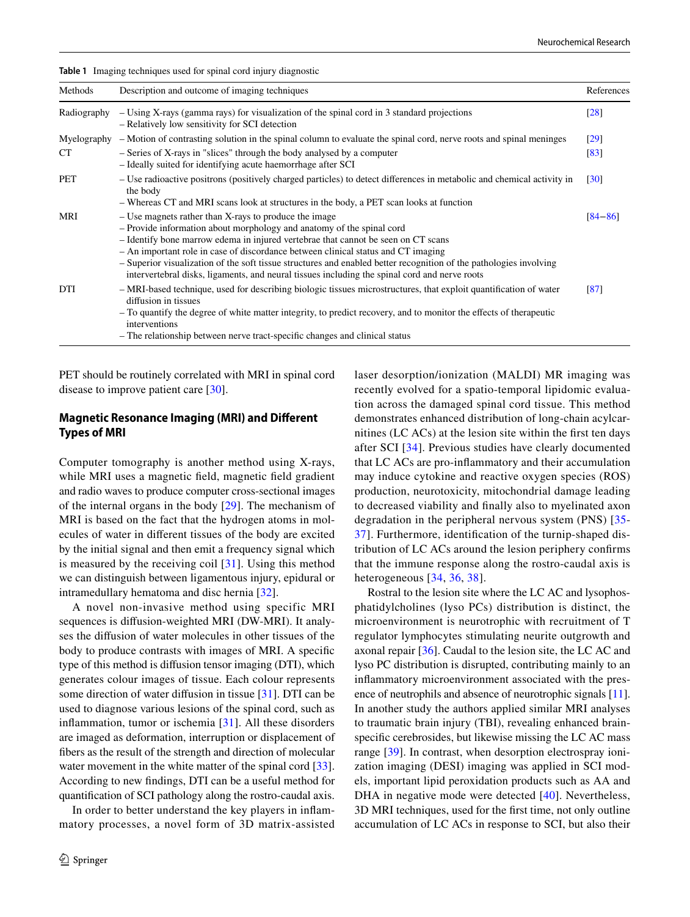| Methods     | Description and outcome of imaging techniques                                                                                                                                                                                                                                                                                                                                                                                                                                                                                   | References        |
|-------------|---------------------------------------------------------------------------------------------------------------------------------------------------------------------------------------------------------------------------------------------------------------------------------------------------------------------------------------------------------------------------------------------------------------------------------------------------------------------------------------------------------------------------------|-------------------|
| Radiography | - Using X-rays (gamma rays) for visualization of the spinal cord in 3 standard projections<br>- Relatively low sensitivity for SCI detection                                                                                                                                                                                                                                                                                                                                                                                    |                   |
|             | Myelography – Motion of contrasting solution in the spinal column to evaluate the spinal cord, nerve roots and spinal meninges                                                                                                                                                                                                                                                                                                                                                                                                  | [29]              |
| <b>CT</b>   | - Series of X-rays in "slices" through the body analysed by a computer<br>- Ideally suited for identifying acute haemorrhage after SCI                                                                                                                                                                                                                                                                                                                                                                                          | [83]              |
| <b>PET</b>  | - Use radioactive positrons (positively charged particles) to detect differences in metabolic and chemical activity in<br>the body<br>- Whereas CT and MRI scans look at structures in the body, a PET scan looks at function                                                                                                                                                                                                                                                                                                   | $\left[30\right]$ |
| MRI         | - Use magnets rather than X-rays to produce the image<br>- Provide information about morphology and anatomy of the spinal cord<br>- Identify bone marrow edema in injured vertebrae that cannot be seen on CT scans<br>- An important role in case of discordance between clinical status and CT imaging<br>- Superior visualization of the soft tissue structures and enabled better recognition of the pathologies involving<br>intervertebral disks, ligaments, and neural tissues including the spinal cord and nerve roots | [84–86]           |
| DTI         | - MRI-based technique, used for describing biologic tissues microstructures, that exploit quantification of water<br>diffusion in tissues<br>- To quantify the degree of white matter integrity, to predict recovery, and to monitor the effects of therapeutic<br>interventions<br>- The relationship between nerve tract-specific changes and clinical status                                                                                                                                                                 | [87]              |

PET should be routinely correlated with MRI in spinal cord disease to improve patient care [\[30](#page-8-0)].

<span id="page-3-0"></span>**Table 1** Imaging techniques used for spinal cord injury diagnostic

## **Magnetic Resonance Imaging (MRI) and Diferent Types of MRI**

Computer tomography is another method using X-rays, while MRI uses a magnetic feld, magnetic feld gradient and radio waves to produce computer cross-sectional images of the internal organs in the body [\[29](#page-7-27)]. The mechanism of MRI is based on the fact that the hydrogen atoms in molecules of water in diferent tissues of the body are excited by the initial signal and then emit a frequency signal which is measured by the receiving coil [\[31](#page-8-1)]. Using this method we can distinguish between ligamentous injury, epidural or intramedullary hematoma and disc hernia [[32\]](#page-8-2).

A novel non-invasive method using specific MRI sequences is difusion-weighted MRI (DW-MRI). It analyses the difusion of water molecules in other tissues of the body to produce contrasts with images of MRI. A specifc type of this method is difusion tensor imaging (DTI), which generates colour images of tissue. Each colour represents some direction of water difusion in tissue [[31\]](#page-8-1). DTI can be used to diagnose various lesions of the spinal cord, such as infammation, tumor or ischemia [\[31\]](#page-8-1). All these disorders are imaged as deformation, interruption or displacement of fbers as the result of the strength and direction of molecular water movement in the white matter of the spinal cord [\[33](#page-8-3)]. According to new fndings, DTI can be a useful method for quantifcation of SCI pathology along the rostro-caudal axis.

In order to better understand the key players in infammatory processes, a novel form of 3D matrix-assisted laser desorption/ionization (MALDI) MR imaging was recently evolved for a spatio-temporal lipidomic evaluation across the damaged spinal cord tissue. This method demonstrates enhanced distribution of long-chain acylcarnitines (LC ACs) at the lesion site within the frst ten days after SCI [[34](#page-8-4)]. Previous studies have clearly documented that LC ACs are pro-infammatory and their accumulation may induce cytokine and reactive oxygen species (ROS) production, neurotoxicity, mitochondrial damage leading to decreased viability and fnally also to myelinated axon degradation in the peripheral nervous system (PNS) [[35-](#page-8-5) [37\]](#page-8-6). Furthermore, identifcation of the turnip-shaped distribution of LC ACs around the lesion periphery confrms that the immune response along the rostro-caudal axis is heterogeneous [[34,](#page-8-4) [36](#page-8-7), [38\]](#page-8-8).

Rostral to the lesion site where the LC AC and lysophosphatidylcholines (lyso PCs) distribution is distinct, the microenvironment is neurotrophic with recruitment of T regulator lymphocytes stimulating neurite outgrowth and axonal repair [\[36](#page-8-7)]. Caudal to the lesion site, the LC AC and lyso PC distribution is disrupted, contributing mainly to an infammatory microenvironment associated with the presence of neutrophils and absence of neurotrophic signals [[11](#page-7-10)]. In another study the authors applied similar MRI analyses to traumatic brain injury (TBI), revealing enhanced brainspecifc cerebrosides, but likewise missing the LC AC mass range [[39\]](#page-8-9). In contrast, when desorption electrospray ionization imaging (DESI) imaging was applied in SCI models, important lipid peroxidation products such as AA and DHA in negative mode were detected [\[40\]](#page-8-10). Nevertheless, 3D MRI techniques, used for the frst time, not only outline accumulation of LC ACs in response to SCI, but also their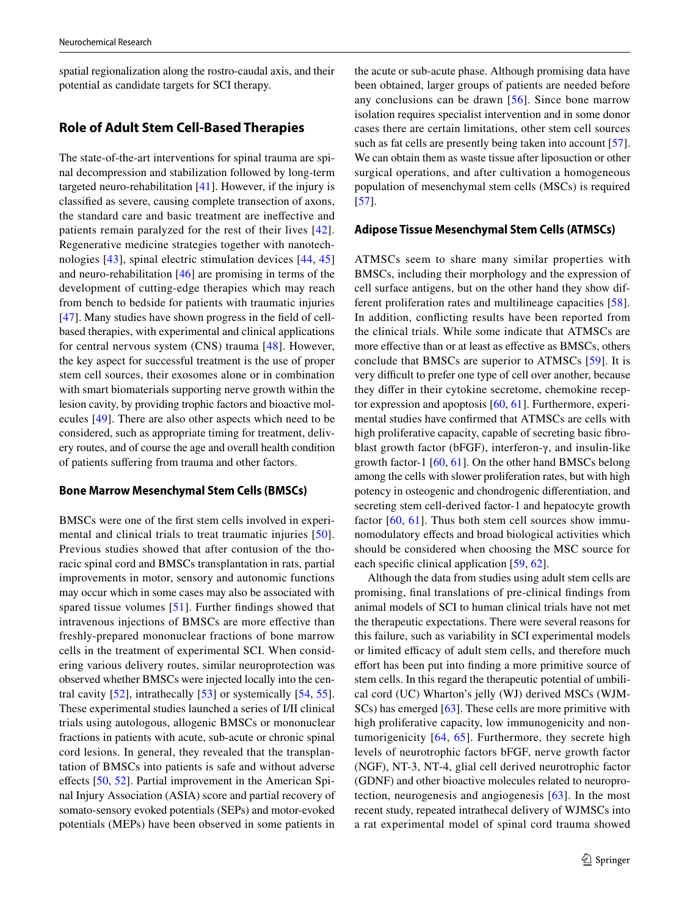spatial regionalization along the rostro-caudal axis, and their potential as candidate targets for SCI therapy.

# **Role of Adult Stem Cell‑Based Therapies**

The state-of-the-art interventions for spinal trauma are spinal decompression and stabilization followed by long-term targeted neuro-rehabilitation [\[41](#page-8-11)]. However, if the injury is classifed as severe, causing complete transection of axons, the standard care and basic treatment are inefective and patients remain paralyzed for the rest of their lives [[42\]](#page-8-12). Regenerative medicine strategies together with nanotechnologies [\[43\]](#page-8-13), spinal electric stimulation devices [[44](#page-8-14), [45\]](#page-8-15) and neuro-rehabilitation [[46\]](#page-8-16) are promising in terms of the development of cutting-edge therapies which may reach from bench to bedside for patients with traumatic injuries [\[47\]](#page-8-17). Many studies have shown progress in the feld of cellbased therapies, with experimental and clinical applications for central nervous system (CNS) trauma [\[48\]](#page-8-18). However, the key aspect for successful treatment is the use of proper stem cell sources, their exosomes alone or in combination with smart biomaterials supporting nerve growth within the lesion cavity, by providing trophic factors and bioactive molecules [[49\]](#page-8-19). There are also other aspects which need to be considered, such as appropriate timing for treatment, delivery routes, and of course the age and overall health condition of patients sufering from trauma and other factors.

## **Bone Marrow Mesenchymal Stem Cells (BMSCs)**

BMSCs were one of the frst stem cells involved in experimental and clinical trials to treat traumatic injuries [[50\]](#page-8-20). Previous studies showed that after contusion of the thoracic spinal cord and BMSCs transplantation in rats, partial improvements in motor, sensory and autonomic functions may occur which in some cases may also be associated with spared tissue volumes [\[51\]](#page-8-21). Further fndings showed that intravenous injections of BMSCs are more efective than freshly-prepared mononuclear fractions of bone marrow cells in the treatment of experimental SCI. When considering various delivery routes, similar neuroprotection was observed whether BMSCs were injected locally into the central cavity [[52](#page-8-22)], intrathecally [[53\]](#page-8-23) or systemically [[54,](#page-8-24) [55](#page-8-25)]. These experimental studies launched a series of I/II clinical trials using autologous, allogenic BMSCs or mononuclear fractions in patients with acute, sub-acute or chronic spinal cord lesions. In general, they revealed that the transplantation of BMSCs into patients is safe and without adverse efects [[50,](#page-8-20) [52](#page-8-22)]. Partial improvement in the American Spinal Injury Association (ASIA) score and partial recovery of somato-sensory evoked potentials (SEPs) and motor-evoked potentials (MEPs) have been observed in some patients in the acute or sub-acute phase. Although promising data have been obtained, larger groups of patients are needed before any conclusions can be drawn [\[56\]](#page-8-26). Since bone marrow isolation requires specialist intervention and in some donor cases there are certain limitations, other stem cell sources such as fat cells are presently being taken into account [\[57](#page-8-27)]. We can obtain them as waste tissue after liposuction or other surgical operations, and after cultivation a homogeneous population of mesenchymal stem cells (MSCs) is required [[57\]](#page-8-27).

#### **Adipose Tissue Mesenchymal Stem Cells (ATMSCs)**

ATMSCs seem to share many similar properties with BMSCs, including their morphology and the expression of cell surface antigens, but on the other hand they show different proliferation rates and multilineage capacities [[58](#page-8-28)]. In addition, conficting results have been reported from the clinical trials. While some indicate that ATMSCs are more effective than or at least as effective as BMSCs, others conclude that BMSCs are superior to ATMSCs [[59](#page-8-29)]. It is very difficult to prefer one type of cell over another, because they difer in their cytokine secretome, chemokine receptor expression and apoptosis [\[60](#page-8-30), [61](#page-8-31)]. Furthermore, experimental studies have confrmed that ATMSCs are cells with high proliferative capacity, capable of secreting basic fibroblast growth factor (bFGF), interferon-γ, and insulin-like growth factor-1 [\[60](#page-8-30), [61](#page-8-31)]. On the other hand BMSCs belong among the cells with slower proliferation rates, but with high potency in osteogenic and chondrogenic diferentiation, and secreting stem cell-derived factor-1 and hepatocyte growth factor [[60](#page-8-30), [61](#page-8-31)]. Thus both stem cell sources show immunomodulatory efects and broad biological activities which should be considered when choosing the MSC source for each specifc clinical application [\[59](#page-8-29), [62\]](#page-8-32).

Although the data from studies using adult stem cells are promising, fnal translations of pre-clinical fndings from animal models of SCI to human clinical trials have not met the therapeutic expectations. There were several reasons for this failure, such as variability in SCI experimental models or limited efficacy of adult stem cells, and therefore much efort has been put into fnding a more primitive source of stem cells. In this regard the therapeutic potential of umbilical cord (UC) Wharton's jelly (WJ) derived MSCs (WJM-SCs) has emerged [[63\]](#page-8-33). These cells are more primitive with high proliferative capacity, low immunogenicity and nontumorigenicity [\[64,](#page-9-4) [65](#page-9-5)]. Furthermore, they secrete high levels of neurotrophic factors bFGF, nerve growth factor (NGF), NT-3, NT-4, glial cell derived neurotrophic factor (GDNF) and other bioactive molecules related to neuroprotection, neurogenesis and angiogenesis [[63\]](#page-8-33). In the most recent study, repeated intrathecal delivery of WJMSCs into a rat experimental model of spinal cord trauma showed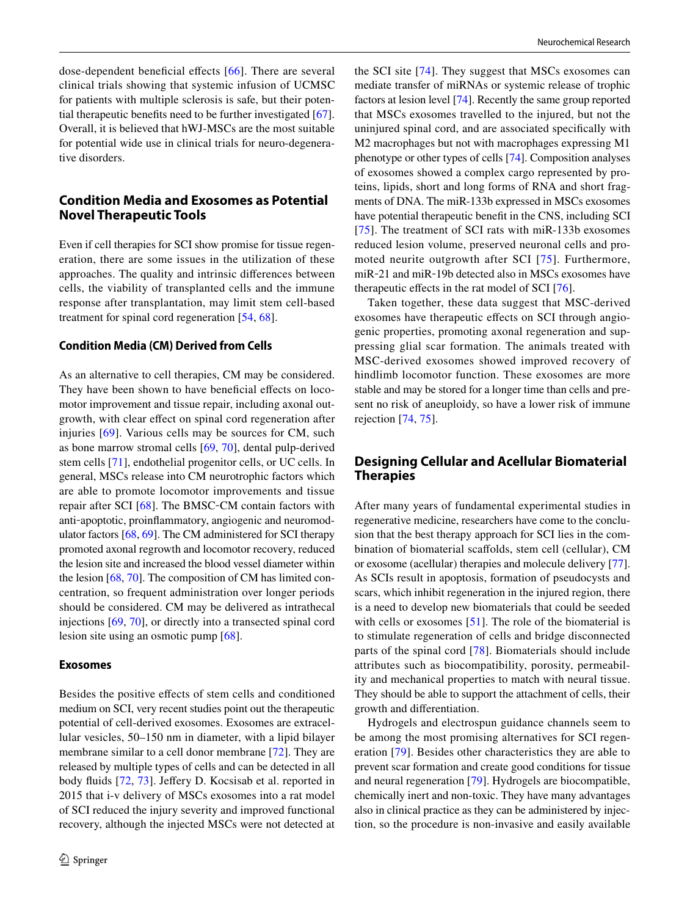dose-dependent beneficial effects [[66](#page-9-6)]. There are several clinical trials showing that systemic infusion of UCMSC for patients with multiple sclerosis is safe, but their potential therapeutic benefts need to be further investigated [\[67](#page-9-7)]. Overall, it is believed that hWJ-MSCs are the most suitable for potential wide use in clinical trials for neuro-degenerative disorders.

# **Condition Media and Exosomes as Potential Novel Therapeutic Tools**

Even if cell therapies for SCI show promise for tissue regeneration, there are some issues in the utilization of these approaches. The quality and intrinsic diferences between cells, the viability of transplanted cells and the immune response after transplantation, may limit stem cell-based treatment for spinal cord regeneration [[54,](#page-8-24) [68\]](#page-9-8).

## **Condition Media (CM) Derived from Cells**

As an alternative to cell therapies, CM may be considered. They have been shown to have beneficial effects on locomotor improvement and tissue repair, including axonal outgrowth, with clear efect on spinal cord regeneration after injuries [[69](#page-9-9)]. Various cells may be sources for CM, such as bone marrow stromal cells [[69](#page-9-9), [70](#page-9-10)], dental pulp-derived stem cells [[71\]](#page-9-11), endothelial progenitor cells, or UC cells. In general, MSCs release into CM neurotrophic factors which are able to promote locomotor improvements and tissue repair after SCI [[68\]](#page-9-8). The BMSC‐CM contain factors with anti‐apoptotic, proinfammatory, angiogenic and neuromodulator factors [\[68](#page-9-8), [69\]](#page-9-9). The CM administered for SCI therapy promoted axonal regrowth and locomotor recovery, reduced the lesion site and increased the blood vessel diameter within the lesion [[68,](#page-9-8) [70\]](#page-9-10). The composition of CM has limited concentration, so frequent administration over longer periods should be considered. CM may be delivered as intrathecal injections [\[69,](#page-9-9) [70\]](#page-9-10), or directly into a transected spinal cord lesion site using an osmotic pump [[68\]](#page-9-8).

#### **Exosomes**

Besides the positive efects of stem cells and conditioned medium on SCI, very recent studies point out the therapeutic potential of cell-derived exosomes. Exosomes are extracellular vesicles, 50–150 nm in diameter, with a lipid bilayer membrane similar to a cell donor membrane [\[72](#page-9-12)]. They are released by multiple types of cells and can be detected in all body fluids [\[72](#page-9-12), [73\]](#page-9-13). Jeffery D. Kocsisab et al. reported in 2015 that i-v delivery of MSCs exosomes into a rat model of SCI reduced the injury severity and improved functional recovery, although the injected MSCs were not detected at the SCI site [[74](#page-9-14)]. They suggest that MSCs exosomes can mediate transfer of miRNAs or systemic release of trophic factors at lesion level [\[74](#page-9-14)]. Recently the same group reported that MSCs exosomes travelled to the injured, but not the uninjured spinal cord, and are associated specifcally with M2 macrophages but not with macrophages expressing M1 phenotype or other types of cells [[74\]](#page-9-14). Composition analyses of exosomes showed a complex cargo represented by proteins, lipids, short and long forms of RNA and short fragments of DNA. The miR-133b expressed in MSCs exosomes have potential therapeutic beneft in the CNS, including SCI [[75\]](#page-9-15). The treatment of SCI rats with miR-133b exosomes reduced lesion volume, preserved neuronal cells and promoted neurite outgrowth after SCI [[75](#page-9-15)]. Furthermore, miR‐21 and miR‐19b detected also in MSCs exosomes have therapeutic efects in the rat model of SCI [[76\]](#page-9-16).

Taken together, these data suggest that MSC-derived exosomes have therapeutic efects on SCI through angiogenic properties, promoting axonal regeneration and suppressing glial scar formation. The animals treated with MSC-derived exosomes showed improved recovery of hindlimb locomotor function. These exosomes are more stable and may be stored for a longer time than cells and present no risk of aneuploidy, so have a lower risk of immune rejection [\[74](#page-9-14), [75\]](#page-9-15).

# **Designing Cellular and Acellular Biomaterial Therapies**

After many years of fundamental experimental studies in regenerative medicine, researchers have come to the conclusion that the best therapy approach for SCI lies in the combination of biomaterial scafolds, stem cell (cellular), CM or exosome (acellular) therapies and molecule delivery [\[77](#page-9-17)]. As SCIs result in apoptosis, formation of pseudocysts and scars, which inhibit regeneration in the injured region, there is a need to develop new biomaterials that could be seeded with cells or exosomes [[51\]](#page-8-21). The role of the biomaterial is to stimulate regeneration of cells and bridge disconnected parts of the spinal cord [[78\]](#page-9-18). Biomaterials should include attributes such as biocompatibility, porosity, permeability and mechanical properties to match with neural tissue. They should be able to support the attachment of cells, their growth and diferentiation.

Hydrogels and electrospun guidance channels seem to be among the most promising alternatives for SCI regeneration [[79](#page-9-19)]. Besides other characteristics they are able to prevent scar formation and create good conditions for tissue and neural regeneration [[79\]](#page-9-19). Hydrogels are biocompatible, chemically inert and non-toxic. They have many advantages also in clinical practice as they can be administered by injection, so the procedure is non-invasive and easily available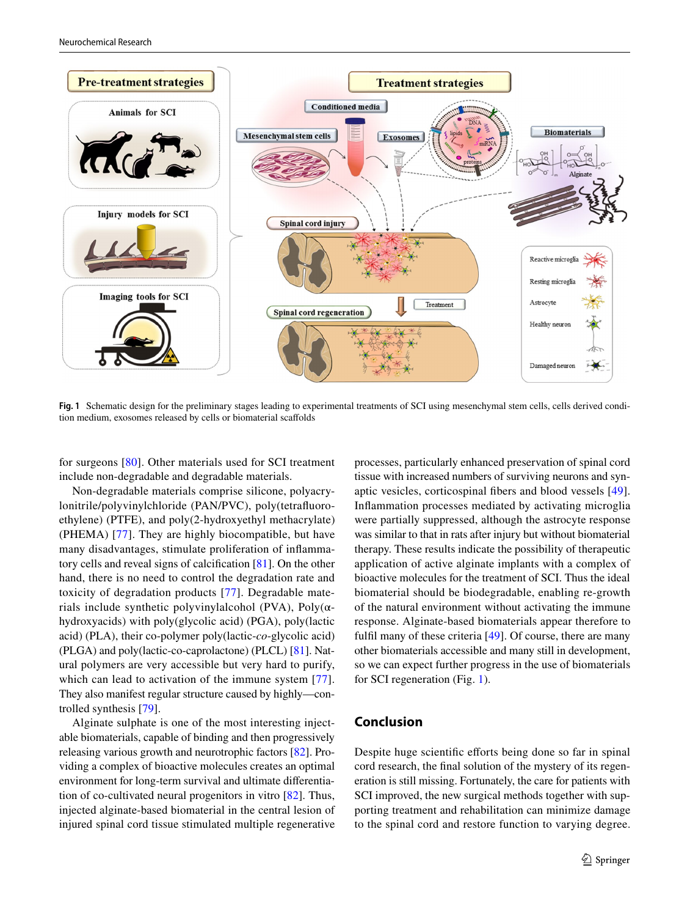

<span id="page-6-0"></span>**Fig. 1** Schematic design for the preliminary stages leading to experimental treatments of SCI using mesenchymal stem cells, cells derived condition medium, exosomes released by cells or biomaterial scafolds

for surgeons [\[80\]](#page-9-20). Other materials used for SCI treatment include non-degradable and degradable materials.

Non-degradable materials comprise silicone, polyacrylonitrile/polyvinylchloride (PAN/PVC), poly(tetrafuoroethylene) (PTFE), and poly(2-hydroxyethyl methacrylate) (PHEMA) [\[77\]](#page-9-17). They are highly biocompatible, but have many disadvantages, stimulate proliferation of infammatory cells and reveal signs of calcifcation [\[81](#page-9-21)]. On the other hand, there is no need to control the degradation rate and toxicity of degradation products [[77](#page-9-17)]. Degradable materials include synthetic polyvinylalcohol (PVA), Poly $(\alpha$ hydroxyacids) with poly(glycolic acid) (PGA), poly(lactic acid) (PLA), their co-polymer poly(lactic-*co*-glycolic acid) (PLGA) and poly(lactic-co-caprolactone) (PLCL) [[81\]](#page-9-21). Natural polymers are very accessible but very hard to purify, which can lead to activation of the immune system [[77](#page-9-17)]. They also manifest regular structure caused by highly—controlled synthesis [[79\]](#page-9-19).

Alginate sulphate is one of the most interesting injectable biomaterials, capable of binding and then progressively releasing various growth and neurotrophic factors [[82\]](#page-9-22). Providing a complex of bioactive molecules creates an optimal environment for long-term survival and ultimate diferentiation of co-cultivated neural progenitors in vitro [[82\]](#page-9-22). Thus, injected alginate-based biomaterial in the central lesion of injured spinal cord tissue stimulated multiple regenerative processes, particularly enhanced preservation of spinal cord tissue with increased numbers of surviving neurons and synaptic vesicles, corticospinal fbers and blood vessels [[49](#page-8-19)]. Infammation processes mediated by activating microglia were partially suppressed, although the astrocyte response was similar to that in rats after injury but without biomaterial therapy. These results indicate the possibility of therapeutic application of active alginate implants with a complex of bioactive molecules for the treatment of SCI. Thus the ideal biomaterial should be biodegradable, enabling re-growth of the natural environment without activating the immune response. Alginate-based biomaterials appear therefore to fulfl many of these criteria [[49\]](#page-8-19). Of course, there are many other biomaterials accessible and many still in development, so we can expect further progress in the use of biomaterials for SCI regeneration (Fig. [1\)](#page-6-0).

# **Conclusion**

Despite huge scientific efforts being done so far in spinal cord research, the fnal solution of the mystery of its regeneration is still missing. Fortunately, the care for patients with SCI improved, the new surgical methods together with supporting treatment and rehabilitation can minimize damage to the spinal cord and restore function to varying degree.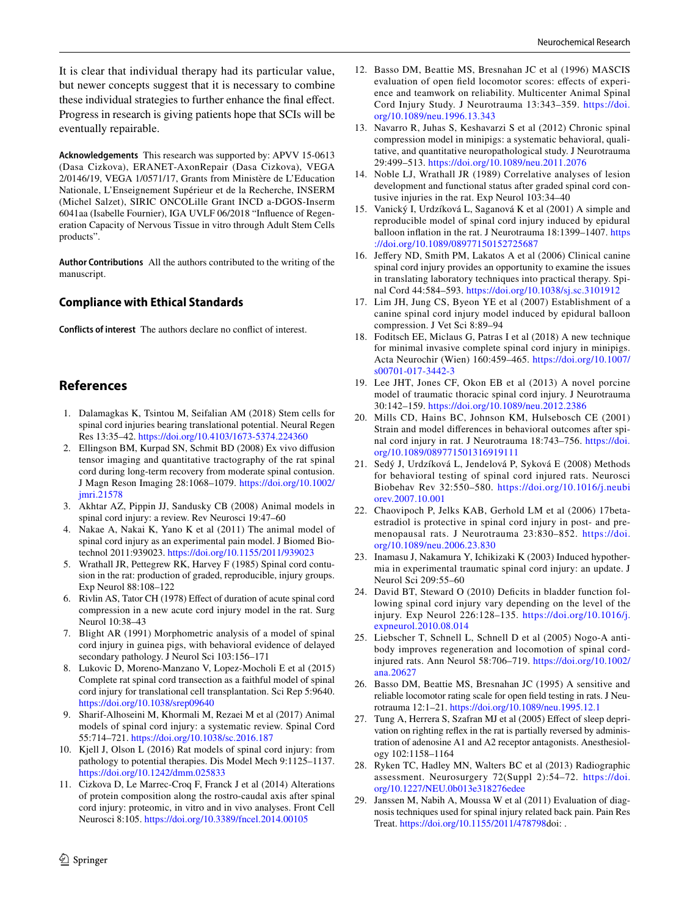It is clear that individual therapy had its particular value, but newer concepts suggest that it is necessary to combine these individual strategies to further enhance the final effect. Progress in research is giving patients hope that SCIs will be eventually repairable.

**Acknowledgements** This research was supported by: APVV 15-0613 (Dasa Cizkova), ERANET-AxonRepair (Dasa Cizkova), VEGA 2/0146/19, VEGA 1/0571/17, Grants from Ministère de L'Education Nationale, L'Enseignement Supérieur et de la Recherche, INSERM (Michel Salzet), SIRIC ONCOLille Grant INCD a-DGOS-Inserm 6041aa (Isabelle Fournier), IGA UVLF 06/2018 "Infuence of Regeneration Capacity of Nervous Tissue in vitro through Adult Stem Cells products".

**Author Contributions** All the authors contributed to the writing of the manuscript.

## **Compliance with Ethical Standards**

**Conflicts of interest** The authors declare no confict of interest.

# **References**

- <span id="page-7-0"></span>1. Dalamagkas K, Tsintou M, Seifalian AM (2018) Stem cells for spinal cord injuries bearing translational potential. Neural Regen Res 13:35–42. <https://doi.org/10.4103/1673-5374.224360>
- <span id="page-7-1"></span>2. Ellingson BM, Kurpad SN, Schmit BD (2008) Ex vivo difusion tensor imaging and quantitative tractography of the rat spinal cord during long-term recovery from moderate spinal contusion. J Magn Reson Imaging 28:1068–1079. [https://doi.org/10.1002/](https://doi.org/10.1002/jmri.21578) [jmri.21578](https://doi.org/10.1002/jmri.21578)
- <span id="page-7-2"></span>3. Akhtar AZ, Pippin JJ, Sandusky CB (2008) Animal models in spinal cord injury: a review. Rev Neurosci 19:47–60
- <span id="page-7-3"></span>4. Nakae A, Nakai K, Yano K et al (2011) The animal model of spinal cord injury as an experimental pain model. J Biomed Biotechnol 2011:939023. <https://doi.org/10.1155/2011/939023>
- <span id="page-7-4"></span>5. Wrathall JR, Pettegrew RK, Harvey F (1985) Spinal cord contusion in the rat: production of graded, reproducible, injury groups. Exp Neurol 88:108–122
- <span id="page-7-5"></span>6. Rivlin AS, Tator CH (1978) Efect of duration of acute spinal cord compression in a new acute cord injury model in the rat. Surg Neurol 10:38–43
- <span id="page-7-6"></span>7. Blight AR (1991) Morphometric analysis of a model of spinal cord injury in guinea pigs, with behavioral evidence of delayed secondary pathology. J Neurol Sci 103:156–171
- <span id="page-7-7"></span>8. Lukovic D, Moreno-Manzano V, Lopez-Mocholi E et al (2015) Complete rat spinal cord transection as a faithful model of spinal cord injury for translational cell transplantation. Sci Rep 5:9640. <https://doi.org/10.1038/srep09640>
- <span id="page-7-8"></span>9. Sharif-Alhoseini M, Khormali M, Rezaei M et al (2017) Animal models of spinal cord injury: a systematic review. Spinal Cord 55:714–721.<https://doi.org/10.1038/sc.2016.187>
- <span id="page-7-9"></span>10. Kjell J, Olson L (2016) Rat models of spinal cord injury: from pathology to potential therapies. Dis Model Mech 9:1125–1137. <https://doi.org/10.1242/dmm.025833>
- <span id="page-7-10"></span>11. Cizkova D, Le Marrec-Croq F, Franck J et al (2014) Alterations of protein composition along the rostro-caudal axis after spinal cord injury: proteomic, in vitro and in vivo analyses. Front Cell Neurosci 8:105. <https://doi.org/10.3389/fncel.2014.00105>
- <span id="page-7-11"></span>12. Basso DM, Beattie MS, Bresnahan JC et al (1996) MASCIS evaluation of open feld locomotor scores: efects of experience and teamwork on reliability. Multicenter Animal Spinal Cord Injury Study. J Neurotrauma 13:343–359. [https://doi.](https://doi.org/10.1089/neu.1996.13.343) [org/10.1089/neu.1996.13.343](https://doi.org/10.1089/neu.1996.13.343)
- <span id="page-7-15"></span>13. Navarro R, Juhas S, Keshavarzi S et al (2012) Chronic spinal compression model in minipigs: a systematic behavioral, qualitative, and quantitative neuropathological study. J Neurotrauma 29:499–513. <https://doi.org/10.1089/neu.2011.2076>
- 14. Noble LJ, Wrathall JR (1989) Correlative analyses of lesion development and functional status after graded spinal cord contusive injuries in the rat. Exp Neurol 103:34–40
- <span id="page-7-12"></span>15. Vanický I, Urdzíková L, Saganová K et al (2001) A simple and reproducible model of spinal cord injury induced by epidural balloon infation in the rat. J Neurotrauma 18:1399–1407. [https](https://doi.org/10.1089/08977150152725687) [://doi.org/10.1089/08977150152725687](https://doi.org/10.1089/08977150152725687)
- <span id="page-7-13"></span>16. Jefery ND, Smith PM, Lakatos A et al (2006) Clinical canine spinal cord injury provides an opportunity to examine the issues in translating laboratory techniques into practical therapy. Spinal Cord 44:584–593. <https://doi.org/10.1038/sj.sc.3101912>
- <span id="page-7-14"></span>17. Lim JH, Jung CS, Byeon YE et al (2007) Establishment of a canine spinal cord injury model induced by epidural balloon compression. J Vet Sci 8:89–94
- <span id="page-7-16"></span>18. Foditsch EE, Miclaus G, Patras I et al (2018) A new technique for minimal invasive complete spinal cord injury in minipigs. Acta Neurochir (Wien) 160:459–465. [https://doi.org/10.1007/](https://doi.org/10.1007/s00701-017-3442-3) [s00701-017-3442-3](https://doi.org/10.1007/s00701-017-3442-3)
- <span id="page-7-17"></span>19. Lee JHT, Jones CF, Okon EB et al (2013) A novel porcine model of traumatic thoracic spinal cord injury. J Neurotrauma 30:142–159. <https://doi.org/10.1089/neu.2012.2386>
- <span id="page-7-18"></span>20. Mills CD, Hains BC, Johnson KM, Hulsebosch CE (2001) Strain and model diferences in behavioral outcomes after spinal cord injury in rat. J Neurotrauma 18:743–756. [https://doi.](https://doi.org/10.1089/089771501316919111) [org/10.1089/089771501316919111](https://doi.org/10.1089/089771501316919111)
- <span id="page-7-19"></span>21. Sedý J, Urdzíková L, Jendelová P, Syková E (2008) Methods for behavioral testing of spinal cord injured rats. Neurosci Biobehav Rev 32:550–580. [https://doi.org/10.1016/j.neubi](https://doi.org/10.1016/j.neubiorev.2007.10.001) [orev.2007.10.001](https://doi.org/10.1016/j.neubiorev.2007.10.001)
- <span id="page-7-20"></span>22. Chaovipoch P, Jelks KAB, Gerhold LM et al (2006) 17betaestradiol is protective in spinal cord injury in post- and premenopausal rats. J Neurotrauma 23:830–852. [https://doi.](https://doi.org/10.1089/neu.2006.23.830) [org/10.1089/neu.2006.23.830](https://doi.org/10.1089/neu.2006.23.830)
- <span id="page-7-21"></span>23. Inamasu J, Nakamura Y, Ichikizaki K (2003) Induced hypothermia in experimental traumatic spinal cord injury: an update. J Neurol Sci 209:55–60
- <span id="page-7-22"></span>24. David BT, Steward O (2010) Deficits in bladder function following spinal cord injury vary depending on the level of the injury. Exp Neurol 226:128–135. [https://doi.org/10.1016/j.](https://doi.org/10.1016/j.expneurol.2010.08.014) [expneurol.2010.08.014](https://doi.org/10.1016/j.expneurol.2010.08.014)
- <span id="page-7-23"></span>25. Liebscher T, Schnell L, Schnell D et al (2005) Nogo-A antibody improves regeneration and locomotion of spinal cordinjured rats. Ann Neurol 58:706–719. [https://doi.org/10.1002/](https://doi.org/10.1002/ana.20627) [ana.20627](https://doi.org/10.1002/ana.20627)
- <span id="page-7-24"></span>26. Basso DM, Beattie MS, Bresnahan JC (1995) A sensitive and reliable locomotor rating scale for open feld testing in rats. J Neurotrauma 12:1–21.<https://doi.org/10.1089/neu.1995.12.1>
- <span id="page-7-25"></span>27. Tung A, Herrera S, Szafran MJ et al (2005) Efect of sleep deprivation on righting refex in the rat is partially reversed by administration of adenosine A1 and A2 receptor antagonists. Anesthesiology 102:1158–1164
- <span id="page-7-26"></span>28. Ryken TC, Hadley MN, Walters BC et al (2013) Radiographic assessment. Neurosurgery 72(Suppl 2):54–72. [https://doi.](https://doi.org/10.1227/NEU.0b013e318276edee) [org/10.1227/NEU.0b013e318276edee](https://doi.org/10.1227/NEU.0b013e318276edee)
- <span id="page-7-27"></span>29. Janssen M, Nabih A, Moussa W et al (2011) Evaluation of diagnosis techniques used for spinal injury related back pain. Pain Res Treat. [https://doi.org/10.1155/2011/478798d](https://doi.org/10.1155/2011/478798)oi: .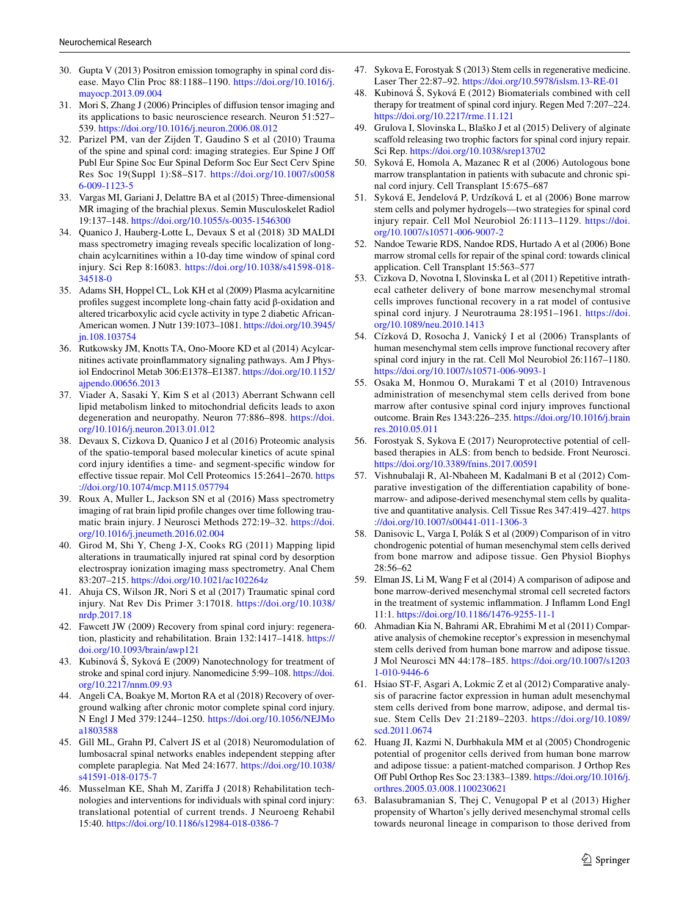- <span id="page-8-0"></span>30. Gupta V (2013) Positron emission tomography in spinal cord disease. Mayo Clin Proc 88:1188–1190. [https://doi.org/10.1016/j.](https://doi.org/10.1016/j.mayocp.2013.09.004) [mayocp.2013.09.004](https://doi.org/10.1016/j.mayocp.2013.09.004)
- <span id="page-8-1"></span>31. Mori S, Zhang J (2006) Principles of difusion tensor imaging and its applications to basic neuroscience research. Neuron 51:527– 539.<https://doi.org/10.1016/j.neuron.2006.08.012>
- <span id="page-8-2"></span>32. Parizel PM, van der Zijden T, Gaudino S et al (2010) Trauma of the spine and spinal cord: imaging strategies. Eur Spine J Of Publ Eur Spine Soc Eur Spinal Deform Soc Eur Sect Cerv Spine Res Soc 19(Suppl 1):S8–S17. [https://doi.org/10.1007/s0058](https://doi.org/10.1007/s00586-009-1123-5) [6-009-1123-5](https://doi.org/10.1007/s00586-009-1123-5)
- <span id="page-8-3"></span>33. Vargas MI, Gariani J, Delattre BA et al (2015) Three-dimensional MR imaging of the brachial plexus. Semin Musculoskelet Radiol 19:137–148.<https://doi.org/10.1055/s-0035-1546300>
- <span id="page-8-4"></span>34. Quanico J, Hauberg-Lotte L, Devaux S et al (2018) 3D MALDI mass spectrometry imaging reveals specifc localization of longchain acylcarnitines within a 10-day time window of spinal cord injury. Sci Rep 8:16083. [https://doi.org/10.1038/s41598-018-](https://doi.org/10.1038/s41598-018-34518-0) [34518-0](https://doi.org/10.1038/s41598-018-34518-0)
- <span id="page-8-5"></span>35. Adams SH, Hoppel CL, Lok KH et al (2009) Plasma acylcarnitine profles suggest incomplete long-chain fatty acid β-oxidation and altered tricarboxylic acid cycle activity in type 2 diabetic African-American women. J Nutr 139:1073–1081. [https://doi.org/10.3945/](https://doi.org/10.3945/jn.108.103754) [jn.108.103754](https://doi.org/10.3945/jn.108.103754)
- <span id="page-8-7"></span>36. Rutkowsky JM, Knotts TA, Ono-Moore KD et al (2014) Acylcarnitines activate proinfammatory signaling pathways. Am J Physiol Endocrinol Metab 306:E1378–E1387. [https://doi.org/10.1152/](https://doi.org/10.1152/ajpendo.00656.2013) [ajpendo.00656.2013](https://doi.org/10.1152/ajpendo.00656.2013)
- <span id="page-8-6"></span>37. Viader A, Sasaki Y, Kim S et al (2013) Aberrant Schwann cell lipid metabolism linked to mitochondrial defcits leads to axon degeneration and neuropathy. Neuron 77:886–898. [https://doi.](https://doi.org/10.1016/j.neuron.2013.01.012) [org/10.1016/j.neuron.2013.01.012](https://doi.org/10.1016/j.neuron.2013.01.012)
- <span id="page-8-8"></span>38. Devaux S, Cizkova D, Quanico J et al (2016) Proteomic analysis of the spatio-temporal based molecular kinetics of acute spinal cord injury identifes a time- and segment-specifc window for efective tissue repair. Mol Cell Proteomics 15:2641–2670. [https](https://doi.org/10.1074/mcp.M115.057794) [://doi.org/10.1074/mcp.M115.057794](https://doi.org/10.1074/mcp.M115.057794)
- <span id="page-8-9"></span>39. Roux A, Muller L, Jackson SN et al (2016) Mass spectrometry imaging of rat brain lipid profle changes over time following traumatic brain injury. J Neurosci Methods 272:19–32. [https://doi.](https://doi.org/10.1016/j.jneumeth.2016.02.004) [org/10.1016/j.jneumeth.2016.02.004](https://doi.org/10.1016/j.jneumeth.2016.02.004)
- <span id="page-8-10"></span>40. Girod M, Shi Y, Cheng J-X, Cooks RG (2011) Mapping lipid alterations in traumatically injured rat spinal cord by desorption electrospray ionization imaging mass spectrometry. Anal Chem 83:207–215.<https://doi.org/10.1021/ac102264z>
- <span id="page-8-11"></span>41. Ahuja CS, Wilson JR, Nori S et al (2017) Traumatic spinal cord injury. Nat Rev Dis Primer 3:17018. [https://doi.org/10.1038/](https://doi.org/10.1038/nrdp.2017.18) [nrdp.2017.18](https://doi.org/10.1038/nrdp.2017.18)
- <span id="page-8-12"></span>42. Fawcett JW (2009) Recovery from spinal cord injury: regeneration, plasticity and rehabilitation. Brain 132:1417–1418. [https://](https://doi.org/10.1093/brain/awp121) [doi.org/10.1093/brain/awp121](https://doi.org/10.1093/brain/awp121)
- <span id="page-8-13"></span>43. Kubinová Š, Syková E (2009) Nanotechnology for treatment of stroke and spinal cord injury. Nanomedicine 5:99–108. [https://doi.](https://doi.org/10.2217/nnm.09.93) [org/10.2217/nnm.09.93](https://doi.org/10.2217/nnm.09.93)
- <span id="page-8-14"></span>44. Angeli CA, Boakye M, Morton RA et al (2018) Recovery of overground walking after chronic motor complete spinal cord injury. N Engl J Med 379:1244–1250. [https://doi.org/10.1056/NEJMo](https://doi.org/10.1056/NEJMoa1803588) [a1803588](https://doi.org/10.1056/NEJMoa1803588)
- <span id="page-8-15"></span>45. Gill ML, Grahn PJ, Calvert JS et al (2018) Neuromodulation of lumbosacral spinal networks enables independent stepping after complete paraplegia. Nat Med 24:1677. [https://doi.org/10.1038/](https://doi.org/10.1038/s41591-018-0175-7) [s41591-018-0175-7](https://doi.org/10.1038/s41591-018-0175-7)
- <span id="page-8-16"></span>46. Musselman KE, Shah M, Zarifa J (2018) Rehabilitation technologies and interventions for individuals with spinal cord injury: translational potential of current trends. J Neuroeng Rehabil 15:40. <https://doi.org/10.1186/s12984-018-0386-7>
- <span id="page-8-17"></span>47. Sykova E, Forostyak S (2013) Stem cells in regenerative medicine. Laser Ther 22:87–92.<https://doi.org/10.5978/islsm.13-RE-01>
- <span id="page-8-18"></span>48. Kubinová Š, Syková E (2012) Biomaterials combined with cell therapy for treatment of spinal cord injury. Regen Med 7:207–224. <https://doi.org/10.2217/rme.11.121>
- <span id="page-8-19"></span>49. Grulova I, Slovinska L, Blaško J et al (2015) Delivery of alginate scaffold releasing two trophic factors for spinal cord injury repair. Sci Rep.<https://doi.org/10.1038/srep13702>
- <span id="page-8-20"></span>50. Syková E, Homola A, Mazanec R et al (2006) Autologous bone marrow transplantation in patients with subacute and chronic spinal cord injury. Cell Transplant 15:675–687
- <span id="page-8-21"></span>51. Syková E, Jendelová P, Urdzíková L et al (2006) Bone marrow stem cells and polymer hydrogels—two strategies for spinal cord injury repair. Cell Mol Neurobiol 26:1113–1129. [https://doi.](https://doi.org/10.1007/s10571-006-9007-2) [org/10.1007/s10571-006-9007-2](https://doi.org/10.1007/s10571-006-9007-2)
- <span id="page-8-22"></span>52. Nandoe Tewarie RDS, Nandoe RDS, Hurtado A et al (2006) Bone marrow stromal cells for repair of the spinal cord: towards clinical application. Cell Transplant 15:563–577
- <span id="page-8-23"></span>53. Cizkova D, Novotna I, Slovinska L et al (2011) Repetitive intrathecal catheter delivery of bone marrow mesenchymal stromal cells improves functional recovery in a rat model of contusive spinal cord injury. J Neurotrauma 28:1951–1961. [https://doi.](https://doi.org/10.1089/neu.2010.1413) [org/10.1089/neu.2010.1413](https://doi.org/10.1089/neu.2010.1413)
- <span id="page-8-24"></span>54. Cízková D, Rosocha J, Vanický I et al (2006) Transplants of human mesenchymal stem cells improve functional recovery after spinal cord injury in the rat. Cell Mol Neurobiol 26:1167–1180. <https://doi.org/10.1007/s10571-006-9093-1>
- <span id="page-8-25"></span>55. Osaka M, Honmou O, Murakami T et al (2010) Intravenous administration of mesenchymal stem cells derived from bone marrow after contusive spinal cord injury improves functional outcome. Brain Res 1343:226–235. [https://doi.org/10.1016/j.brain](https://doi.org/10.1016/j.brainres.2010.05.011) [res.2010.05.011](https://doi.org/10.1016/j.brainres.2010.05.011)
- <span id="page-8-26"></span>56. Forostyak S, Sykova E (2017) Neuroprotective potential of cellbased therapies in ALS: from bench to bedside. Front Neurosci. <https://doi.org/10.3389/fnins.2017.00591>
- <span id="page-8-27"></span>57. Vishnubalaji R, Al-Nbaheen M, Kadalmani B et al (2012) Comparative investigation of the diferentiation capability of bonemarrow- and adipose-derived mesenchymal stem cells by qualitative and quantitative analysis. Cell Tissue Res 347:419–427. [https](https://doi.org/10.1007/s00441-011-1306-3) [://doi.org/10.1007/s00441-011-1306-3](https://doi.org/10.1007/s00441-011-1306-3)
- <span id="page-8-28"></span>58. Danisovic L, Varga I, Polák S et al (2009) Comparison of in vitro chondrogenic potential of human mesenchymal stem cells derived from bone marrow and adipose tissue. Gen Physiol Biophys 28:56–62
- <span id="page-8-29"></span>59. Elman JS, Li M, Wang F et al (2014) A comparison of adipose and bone marrow-derived mesenchymal stromal cell secreted factors in the treatment of systemic infammation. J Infamm Lond Engl 11:1. <https://doi.org/10.1186/1476-9255-11-1>
- <span id="page-8-30"></span>60. Ahmadian Kia N, Bahrami AR, Ebrahimi M et al (2011) Comparative analysis of chemokine receptor's expression in mesenchymal stem cells derived from human bone marrow and adipose tissue. J Mol Neurosci MN 44:178–185. [https://doi.org/10.1007/s1203](https://doi.org/10.1007/s12031-010-9446-6) [1-010-9446-6](https://doi.org/10.1007/s12031-010-9446-6)
- <span id="page-8-31"></span>61. Hsiao ST-F, Asgari A, Lokmic Z et al (2012) Comparative analysis of paracrine factor expression in human adult mesenchymal stem cells derived from bone marrow, adipose, and dermal tissue. Stem Cells Dev 21:2189–2203. [https://doi.org/10.1089/](https://doi.org/10.1089/scd.2011.0674) [scd.2011.0674](https://doi.org/10.1089/scd.2011.0674)
- <span id="page-8-32"></span>62. Huang JI, Kazmi N, Durbhakula MM et al (2005) Chondrogenic potential of progenitor cells derived from human bone marrow and adipose tissue: a patient-matched comparison. J Orthop Res Of Publ Orthop Res Soc 23:1383–1389. [https://doi.org/10.1016/j.](https://doi.org/10.1016/j.orthres.2005.03.008.1100230621) [orthres.2005.03.008.1100230621](https://doi.org/10.1016/j.orthres.2005.03.008.1100230621)
- <span id="page-8-33"></span>63. Balasubramanian S, Thej C, Venugopal P et al (2013) Higher propensity of Wharton's jelly derived mesenchymal stromal cells towards neuronal lineage in comparison to those derived from